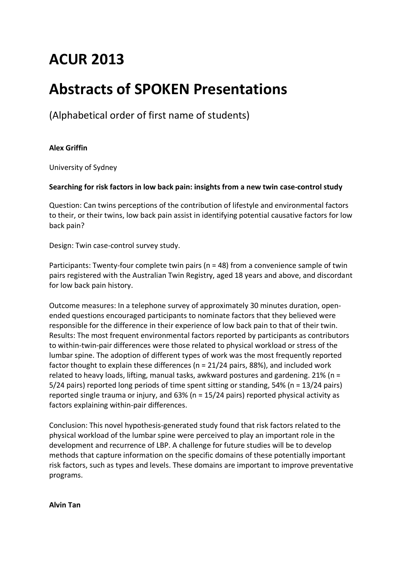# **ACUR 2013**

# **Abstracts of SPOKEN Presentations**

(Alphabetical order of first name of students)

# **Alex Griffin**

University of Sydney

# **Searching for risk factors in low back pain: insights from a new twin case-control study**

Question: Can twins perceptions of the contribution of lifestyle and environmental factors to their, or their twins, low back pain assist in identifying potential causative factors for low back pain?

Design: Twin case-control survey study.

Participants: Twenty-four complete twin pairs (n = 48) from a convenience sample of twin pairs registered with the Australian Twin Registry, aged 18 years and above, and discordant for low back pain history.

Outcome measures: In a telephone survey of approximately 30 minutes duration, openended questions encouraged participants to nominate factors that they believed were responsible for the difference in their experience of low back pain to that of their twin. Results: The most frequent environmental factors reported by participants as contributors to within-twin-pair differences were those related to physical workload or stress of the lumbar spine. The adoption of different types of work was the most frequently reported factor thought to explain these differences (n = 21/24 pairs, 88%), and included work related to heavy loads, lifting, manual tasks, awkward postures and gardening. 21% (n = 5/24 pairs) reported long periods of time spent sitting or standing, 54% (n = 13/24 pairs) reported single trauma or injury, and 63% (n = 15/24 pairs) reported physical activity as factors explaining within-pair differences.

Conclusion: This novel hypothesis-generated study found that risk factors related to the physical workload of the lumbar spine were perceived to play an important role in the development and recurrence of LBP. A challenge for future studies will be to develop methods that capture information on the specific domains of these potentially important risk factors, such as types and levels. These domains are important to improve preventative programs.

**Alvin Tan**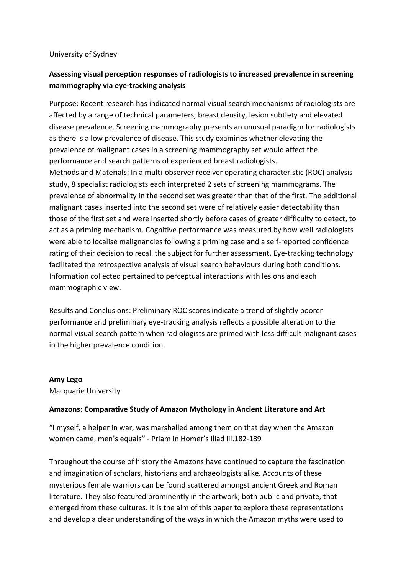## University of Sydney

# **Assessing visual perception responses of radiologists to increased prevalence in screening mammography via eye-tracking analysis**

Purpose: Recent research has indicated normal visual search mechanisms of radiologists are affected by a range of technical parameters, breast density, lesion subtlety and elevated disease prevalence. Screening mammography presents an unusual paradigm for radiologists as there is a low prevalence of disease. This study examines whether elevating the prevalence of malignant cases in a screening mammography set would affect the performance and search patterns of experienced breast radiologists. Methods and Materials: In a multi-observer receiver operating characteristic (ROC) analysis study, 8 specialist radiologists each interpreted 2 sets of screening mammograms. The prevalence of abnormality in the second set was greater than that of the first. The additional malignant cases inserted into the second set were of relatively easier detectability than those of the first set and were inserted shortly before cases of greater difficulty to detect, to act as a priming mechanism. Cognitive performance was measured by how well radiologists were able to localise malignancies following a priming case and a self-reported confidence rating of their decision to recall the subject for further assessment. Eye-tracking technology facilitated the retrospective analysis of visual search behaviours during both conditions. Information collected pertained to perceptual interactions with lesions and each mammographic view.

Results and Conclusions: Preliminary ROC scores indicate a trend of slightly poorer performance and preliminary eye-tracking analysis reflects a possible alteration to the normal visual search pattern when radiologists are primed with less difficult malignant cases in the higher prevalence condition.

## **Amy Lego**

Macquarie University

# **Amazons: Comparative Study of Amazon Mythology in Ancient Literature and Art**

"I myself, a helper in war, was marshalled among them on that day when the Amazon women came, men's equals" - Priam in Homer's Iliad iii.182-189

Throughout the course of history the Amazons have continued to capture the fascination and imagination of scholars, historians and archaeologists alike. Accounts of these mysterious female warriors can be found scattered amongst ancient Greek and Roman literature. They also featured prominently in the artwork, both public and private, that emerged from these cultures. It is the aim of this paper to explore these representations and develop a clear understanding of the ways in which the Amazon myths were used to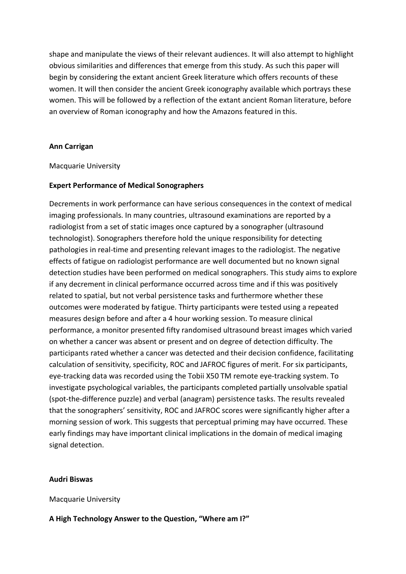shape and manipulate the views of their relevant audiences. It will also attempt to highlight obvious similarities and differences that emerge from this study. As such this paper will begin by considering the extant ancient Greek literature which offers recounts of these women. It will then consider the ancient Greek iconography available which portrays these women. This will be followed by a reflection of the extant ancient Roman literature, before an overview of Roman iconography and how the Amazons featured in this.

## **Ann Carrigan**

#### Macquarie University

#### **Expert Performance of Medical Sonographers**

Decrements in work performance can have serious consequences in the context of medical imaging professionals. In many countries, ultrasound examinations are reported by a radiologist from a set of static images once captured by a sonographer (ultrasound technologist). Sonographers therefore hold the unique responsibility for detecting pathologies in real-time and presenting relevant images to the radiologist. The negative effects of fatigue on radiologist performance are well documented but no known signal detection studies have been performed on medical sonographers. This study aims to explore if any decrement in clinical performance occurred across time and if this was positively related to spatial, but not verbal persistence tasks and furthermore whether these outcomes were moderated by fatigue. Thirty participants were tested using a repeated measures design before and after a 4 hour working session. To measure clinical performance, a monitor presented fifty randomised ultrasound breast images which varied on whether a cancer was absent or present and on degree of detection difficulty. The participants rated whether a cancer was detected and their decision confidence, facilitating calculation of sensitivity, specificity, ROC and JAFROC figures of merit. For six participants, eye-tracking data was recorded using the Tobii X50 TM remote eye-tracking system. To investigate psychological variables, the participants completed partially unsolvable spatial (spot-the-difference puzzle) and verbal (anagram) persistence tasks. The results revealed that the sonographers' sensitivity, ROC and JAFROC scores were significantly higher after a morning session of work. This suggests that perceptual priming may have occurred. These early findings may have important clinical implications in the domain of medical imaging signal detection.

#### **Audri Biswas**

Macquarie University

#### **A High Technology Answer to the Question, "Where am I?"**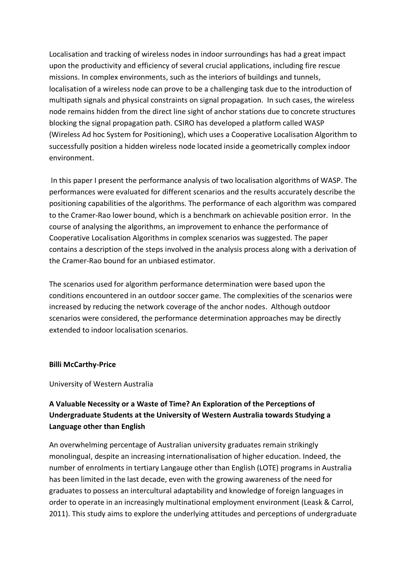Localisation and tracking of wireless nodes in indoor surroundings has had a great impact upon the productivity and efficiency of several crucial applications, including fire rescue missions. In complex environments, such as the interiors of buildings and tunnels, localisation of a wireless node can prove to be a challenging task due to the introduction of multipath signals and physical constraints on signal propagation. In such cases, the wireless node remains hidden from the direct line sight of anchor stations due to concrete structures blocking the signal propagation path. CSIRO has developed a platform called WASP (Wireless Ad hoc System for Positioning), which uses a Cooperative Localisation Algorithm to successfully position a hidden wireless node located inside a geometrically complex indoor environment.

In this paper I present the performance analysis of two localisation algorithms of WASP. The performances were evaluated for different scenarios and the results accurately describe the positioning capabilities of the algorithms. The performance of each algorithm was compared to the Cramer-Rao lower bound, which is a benchmark on achievable position error. In the course of analysing the algorithms, an improvement to enhance the performance of Cooperative Localisation Algorithms in complex scenarios was suggested. The paper contains a description of the steps involved in the analysis process along with a derivation of the Cramer-Rao bound for an unbiased estimator.

The scenarios used for algorithm performance determination were based upon the conditions encountered in an outdoor soccer game. The complexities of the scenarios were increased by reducing the network coverage of the anchor nodes. Although outdoor scenarios were considered, the performance determination approaches may be directly extended to indoor localisation scenarios.

## **Billi McCarthy-Price**

## University of Western Australia

# **A Valuable Necessity or a Waste of Time? An Exploration of the Perceptions of Undergraduate Students at the University of Western Australia towards Studying a Language other than English**

An overwhelming percentage of Australian university graduates remain strikingly monolingual, despite an increasing internationalisation of higher education. Indeed, the number of enrolments in tertiary Langauge other than English (LOTE) programs in Australia has been limited in the last decade, even with the growing awareness of the need for graduates to possess an intercultural adaptability and knowledge of foreign languages in order to operate in an increasingly multinational employment environment (Leask & Carrol, 2011). This study aims to explore the underlying attitudes and perceptions of undergraduate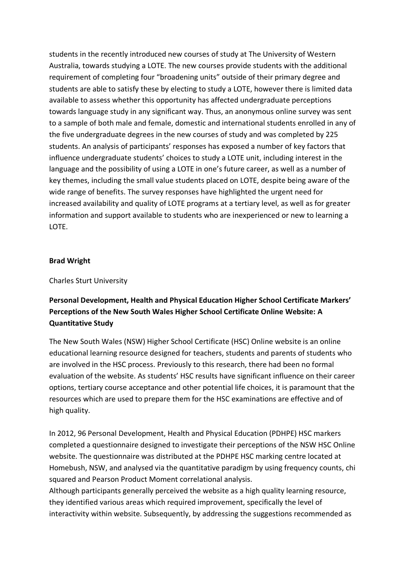students in the recently introduced new courses of study at The University of Western Australia, towards studying a LOTE. The new courses provide students with the additional requirement of completing four "broadening units" outside of their primary degree and students are able to satisfy these by electing to study a LOTE, however there is limited data available to assess whether this opportunity has affected undergraduate perceptions towards language study in any significant way. Thus, an anonymous online survey was sent to a sample of both male and female, domestic and international students enrolled in any of the five undergraduate degrees in the new courses of study and was completed by 225 students. An analysis of participants' responses has exposed a number of key factors that influence undergraduate students' choices to study a LOTE unit, including interest in the language and the possibility of using a LOTE in one's future career, as well as a number of key themes, including the small value students placed on LOTE, despite being aware of the wide range of benefits. The survey responses have highlighted the urgent need for increased availability and quality of LOTE programs at a tertiary level, as well as for greater information and support available to students who are inexperienced or new to learning a LOTE.

## **Brad Wright**

Charles Sturt University

# **Personal Development, Health and Physical Education Higher School Certificate Markers' Perceptions of the New South Wales Higher School Certificate Online Website: A Quantitative Study**

The New South Wales (NSW) Higher School Certificate (HSC) Online website is an online educational learning resource designed for teachers, students and parents of students who are involved in the HSC process. Previously to this research, there had been no formal evaluation of the website. As students' HSC results have significant influence on their career options, tertiary course acceptance and other potential life choices, it is paramount that the resources which are used to prepare them for the HSC examinations are effective and of high quality.

In 2012, 96 Personal Development, Health and Physical Education (PDHPE) HSC markers completed a questionnaire designed to investigate their perceptions of the NSW HSC Online website. The questionnaire was distributed at the PDHPE HSC marking centre located at Homebush, NSW, and analysed via the quantitative paradigm by using frequency counts, chi squared and Pearson Product Moment correlational analysis.

Although participants generally perceived the website as a high quality learning resource, they identified various areas which required improvement, specifically the level of interactivity within website. Subsequently, by addressing the suggestions recommended as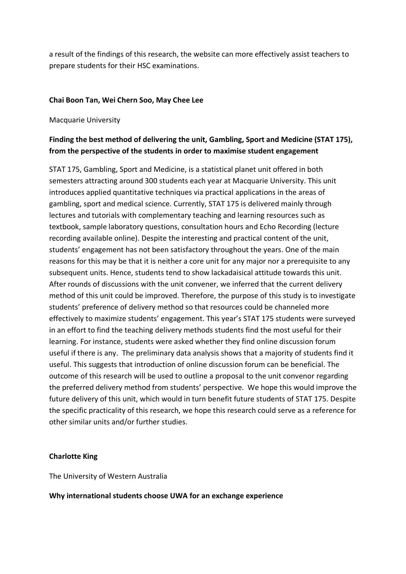a result of the findings of this research, the website can more effectively assist teachers to prepare students for their HSC examinations.

# **Chai Boon Tan, Wei Chern Soo, May Chee Lee**

## Macquarie University

# **Finding the best method of delivering the unit, Gambling, Sport and Medicine (STAT 175), from the perspective of the students in order to maximise student engagement**

STAT 175, Gambling, Sport and Medicine, is a statistical planet unit offered in both semesters attracting around 300 students each year at Macquarie University. This unit introduces applied quantitative techniques via practical applications in the areas of gambling, sport and medical science. Currently, STAT 175 is delivered mainly through lectures and tutorials with complementary teaching and learning resources such as textbook, sample laboratory questions, consultation hours and Echo Recording (lecture recording available online). Despite the interesting and practical content of the unit, students' engagement has not been satisfactory throughout the years. One of the main reasons for this may be that it is neither a core unit for any major nor a prerequisite to any subsequent units. Hence, students tend to show lackadaisical attitude towards this unit. After rounds of discussions with the unit convener, we inferred that the current delivery method of this unit could be improved. Therefore, the purpose of this study is to investigate students' preference of delivery method so that resources could be channeled more effectively to maximize students' engagement. This year's STAT 175 students were surveyed in an effort to find the teaching delivery methods students find the most useful for their learning. For instance, students were asked whether they find online discussion forum useful if there is any. The preliminary data analysis shows that a majority of students find it useful. This suggests that introduction of online discussion forum can be beneficial. The outcome of this research will be used to outline a proposal to the unit convenor regarding the preferred delivery method from students' perspective. We hope this would improve the future delivery of this unit, which would in turn benefit future students of STAT 175. Despite the specific practicality of this research, we hope this research could serve as a reference for other similar units and/or further studies.

# **Charlotte King**

The University of Western Australia

## **Why international students choose UWA for an exchange experience**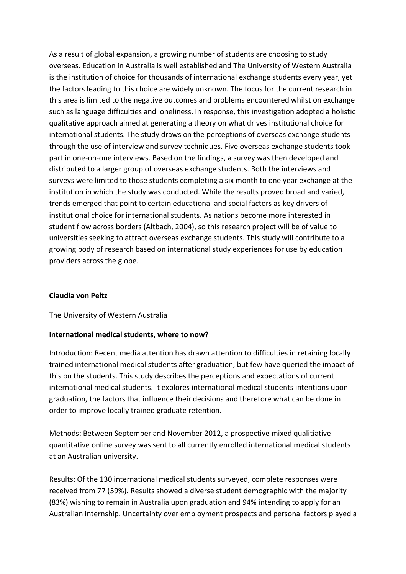As a result of global expansion, a growing number of students are choosing to study overseas. Education in Australia is well established and The University of Western Australia is the institution of choice for thousands of international exchange students every year, yet the factors leading to this choice are widely unknown. The focus for the current research in this area is limited to the negative outcomes and problems encountered whilst on exchange such as language difficulties and loneliness. In response, this investigation adopted a holistic qualitative approach aimed at generating a theory on what drives institutional choice for international students. The study draws on the perceptions of overseas exchange students through the use of interview and survey techniques. Five overseas exchange students took part in one-on-one interviews. Based on the findings, a survey was then developed and distributed to a larger group of overseas exchange students. Both the interviews and surveys were limited to those students completing a six month to one year exchange at the institution in which the study was conducted. While the results proved broad and varied, trends emerged that point to certain educational and social factors as key drivers of institutional choice for international students. As nations become more interested in student flow across borders (Altbach, 2004), so this research project will be of value to universities seeking to attract overseas exchange students. This study will contribute to a growing body of research based on international study experiences for use by education providers across the globe.

## **Claudia von Peltz**

## The University of Western Australia

## **International medical students, where to now?**

Introduction: Recent media attention has drawn attention to difficulties in retaining locally trained international medical students after graduation, but few have queried the impact of this on the students. This study describes the perceptions and expectations of current international medical students. It explores international medical students intentions upon graduation, the factors that influence their decisions and therefore what can be done in order to improve locally trained graduate retention.

Methods: Between September and November 2012, a prospective mixed qualitiativequantitative online survey was sent to all currently enrolled international medical students at an Australian university.

Results: Of the 130 international medical students surveyed, complete responses were received from 77 (59%). Results showed a diverse student demographic with the majority (83%) wishing to remain in Australia upon graduation and 94% intending to apply for an Australian internship. Uncertainty over employment prospects and personal factors played a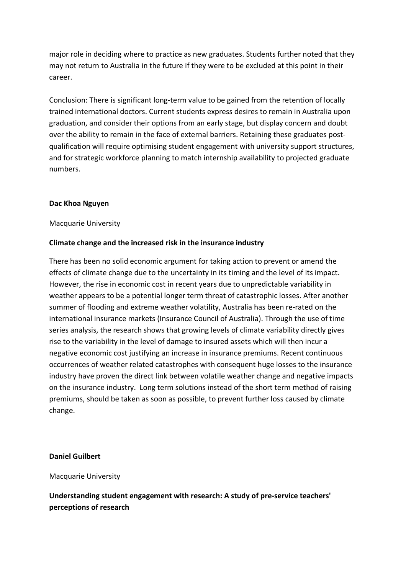major role in deciding where to practice as new graduates. Students further noted that they may not return to Australia in the future if they were to be excluded at this point in their career.

Conclusion: There is significant long-term value to be gained from the retention of locally trained international doctors. Current students express desires to remain in Australia upon graduation, and consider their options from an early stage, but display concern and doubt over the ability to remain in the face of external barriers. Retaining these graduates postqualification will require optimising student engagement with university support structures, and for strategic workforce planning to match internship availability to projected graduate numbers.

#### **Dac Khoa Nguyen**

#### Macquarie University

#### **Climate change and the increased risk in the insurance industry**

There has been no solid economic argument for taking action to prevent or amend the effects of climate change due to the uncertainty in its timing and the level of its impact. However, the rise in economic cost in recent years due to unpredictable variability in weather appears to be a potential longer term threat of catastrophic losses. After another summer of flooding and extreme weather volatility, Australia has been re-rated on the international insurance markets (Insurance Council of Australia). Through the use of time series analysis, the research shows that growing levels of climate variability directly gives rise to the variability in the level of damage to insured assets which will then incur a negative economic cost justifying an increase in insurance premiums. Recent continuous occurrences of weather related catastrophes with consequent huge losses to the insurance industry have proven the direct link between volatile weather change and negative impacts on the insurance industry. Long term solutions instead of the short term method of raising premiums, should be taken as soon as possible, to prevent further loss caused by climate change.

#### **Daniel Guilbert**

#### Macquarie University

**Understanding student engagement with research: A study of pre-service teachers' perceptions of research**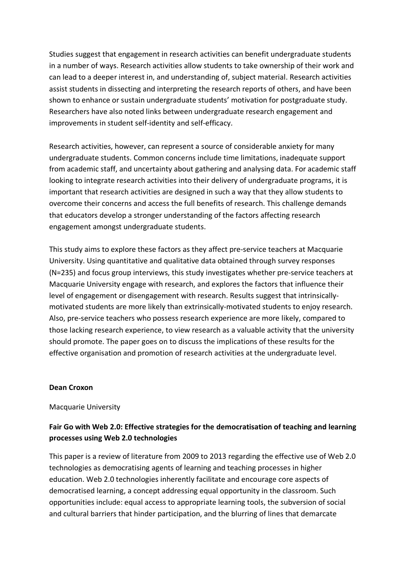Studies suggest that engagement in research activities can benefit undergraduate students in a number of ways. Research activities allow students to take ownership of their work and can lead to a deeper interest in, and understanding of, subject material. Research activities assist students in dissecting and interpreting the research reports of others, and have been shown to enhance or sustain undergraduate students' motivation for postgraduate study. Researchers have also noted links between undergraduate research engagement and improvements in student self-identity and self-efficacy.

Research activities, however, can represent a source of considerable anxiety for many undergraduate students. Common concerns include time limitations, inadequate support from academic staff, and uncertainty about gathering and analysing data. For academic staff looking to integrate research activities into their delivery of undergraduate programs, it is important that research activities are designed in such a way that they allow students to overcome their concerns and access the full benefits of research. This challenge demands that educators develop a stronger understanding of the factors affecting research engagement amongst undergraduate students.

This study aims to explore these factors as they affect pre-service teachers at Macquarie University. Using quantitative and qualitative data obtained through survey responses (N=235) and focus group interviews, this study investigates whether pre-service teachers at Macquarie University engage with research, and explores the factors that influence their level of engagement or disengagement with research. Results suggest that intrinsicallymotivated students are more likely than extrinsically-motivated students to enjoy research. Also, pre-service teachers who possess research experience are more likely, compared to those lacking research experience, to view research as a valuable activity that the university should promote. The paper goes on to discuss the implications of these results for the effective organisation and promotion of research activities at the undergraduate level.

#### **Dean Croxon**

#### Macquarie University

# **Fair Go with Web 2.0: Effective strategies for the democratisation of teaching and learning processes using Web 2.0 technologies**

This paper is a review of literature from 2009 to 2013 regarding the effective use of Web 2.0 technologies as democratising agents of learning and teaching processes in higher education. Web 2.0 technologies inherently facilitate and encourage core aspects of democratised learning, a concept addressing equal opportunity in the classroom. Such opportunities include: equal access to appropriate learning tools, the subversion of social and cultural barriers that hinder participation, and the blurring of lines that demarcate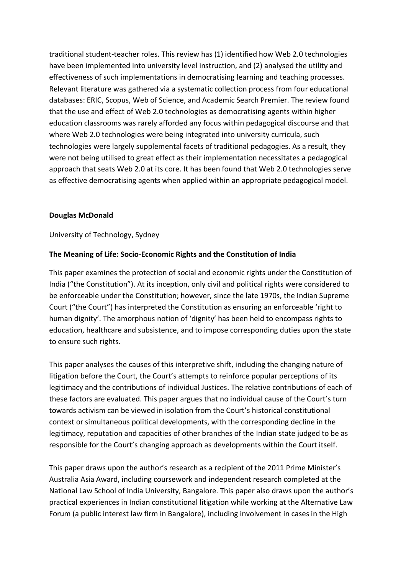traditional student-teacher roles. This review has (1) identified how Web 2.0 technologies have been implemented into university level instruction, and (2) analysed the utility and effectiveness of such implementations in democratising learning and teaching processes. Relevant literature was gathered via a systematic collection process from four educational databases: ERIC, Scopus, Web of Science, and Academic Search Premier. The review found that the use and effect of Web 2.0 technologies as democratising agents within higher education classrooms was rarely afforded any focus within pedagogical discourse and that where Web 2.0 technologies were being integrated into university curricula, such technologies were largely supplemental facets of traditional pedagogies. As a result, they were not being utilised to great effect as their implementation necessitates a pedagogical approach that seats Web 2.0 at its core. It has been found that Web 2.0 technologies serve as effective democratising agents when applied within an appropriate pedagogical model.

# **Douglas McDonald**

University of Technology, Sydney

# **The Meaning of Life: Socio-Economic Rights and the Constitution of India**

This paper examines the protection of social and economic rights under the Constitution of India ("the Constitution"). At its inception, only civil and political rights were considered to be enforceable under the Constitution; however, since the late 1970s, the Indian Supreme Court ("the Court") has interpreted the Constitution as ensuring an enforceable 'right to human dignity'. The amorphous notion of 'dignity' has been held to encompass rights to education, healthcare and subsistence, and to impose corresponding duties upon the state to ensure such rights.

This paper analyses the causes of this interpretive shift, including the changing nature of litigation before the Court, the Court's attempts to reinforce popular perceptions of its legitimacy and the contributions of individual Justices. The relative contributions of each of these factors are evaluated. This paper argues that no individual cause of the Court's turn towards activism can be viewed in isolation from the Court's historical constitutional context or simultaneous political developments, with the corresponding decline in the legitimacy, reputation and capacities of other branches of the Indian state judged to be as responsible for the Court's changing approach as developments within the Court itself.

This paper draws upon the author's research as a recipient of the 2011 Prime Minister's Australia Asia Award, including coursework and independent research completed at the National Law School of India University, Bangalore. This paper also draws upon the author's practical experiences in Indian constitutional litigation while working at the Alternative Law Forum (a public interest law firm in Bangalore), including involvement in cases in the High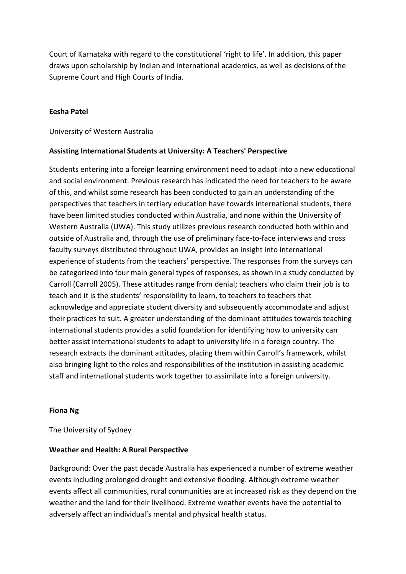Court of Karnataka with regard to the constitutional 'right to life'. In addition, this paper draws upon scholarship by Indian and international academics, as well as decisions of the Supreme Court and High Courts of India.

## **Eesha Patel**

University of Western Australia

# **Assisting International Students at University: A Teachers' Perspective**

Students entering into a foreign learning environment need to adapt into a new educational and social environment. Previous research has indicated the need for teachers to be aware of this, and whilst some research has been conducted to gain an understanding of the perspectives that teachers in tertiary education have towards international students, there have been limited studies conducted within Australia, and none within the University of Western Australia (UWA). This study utilizes previous research conducted both within and outside of Australia and, through the use of preliminary face-to-face interviews and cross faculty surveys distributed throughout UWA, provides an insight into international experience of students from the teachers' perspective. The responses from the surveys can be categorized into four main general types of responses, as shown in a study conducted by Carroll (Carroll 2005). These attitudes range from denial; teachers who claim their job is to teach and it is the students' responsibility to learn, to teachers to teachers that acknowledge and appreciate student diversity and subsequently accommodate and adjust their practices to suit. A greater understanding of the dominant attitudes towards teaching international students provides a solid foundation for identifying how to university can better assist international students to adapt to university life in a foreign country. The research extracts the dominant attitudes, placing them within Carroll's framework, whilst also bringing light to the roles and responsibilities of the institution in assisting academic staff and international students work together to assimilate into a foreign university.

## **Fiona Ng**

The University of Sydney

## **Weather and Health: A Rural Perspective**

Background: Over the past decade Australia has experienced a number of extreme weather events including prolonged drought and extensive flooding. Although extreme weather events affect all communities, rural communities are at increased risk as they depend on the weather and the land for their livelihood. Extreme weather events have the potential to adversely affect an individual's mental and physical health status.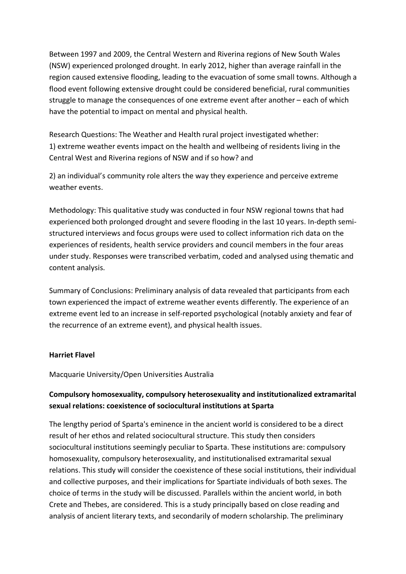Between 1997 and 2009, the Central Western and Riverina regions of New South Wales (NSW) experienced prolonged drought. In early 2012, higher than average rainfall in the region caused extensive flooding, leading to the evacuation of some small towns. Although a flood event following extensive drought could be considered beneficial, rural communities struggle to manage the consequences of one extreme event after another – each of which have the potential to impact on mental and physical health.

Research Questions: The Weather and Health rural project investigated whether: 1) extreme weather events impact on the health and wellbeing of residents living in the Central West and Riverina regions of NSW and if so how? and

2) an individual's community role alters the way they experience and perceive extreme weather events.

Methodology: This qualitative study was conducted in four NSW regional towns that had experienced both prolonged drought and severe flooding in the last 10 years. In-depth semistructured interviews and focus groups were used to collect information rich data on the experiences of residents, health service providers and council members in the four areas under study. Responses were transcribed verbatim, coded and analysed using thematic and content analysis.

Summary of Conclusions: Preliminary analysis of data revealed that participants from each town experienced the impact of extreme weather events differently. The experience of an extreme event led to an increase in self-reported psychological (notably anxiety and fear of the recurrence of an extreme event), and physical health issues.

# **Harriet Flavel**

Macquarie University/Open Universities Australia

# **Compulsory homosexuality, compulsory heterosexuality and institutionalized extramarital sexual relations: coexistence of sociocultural institutions at Sparta**

The lengthy period of Sparta's eminence in the ancient world is considered to be a direct result of her ethos and related sociocultural structure. This study then considers sociocultural institutions seemingly peculiar to Sparta. These institutions are: compulsory homosexuality, compulsory heterosexuality, and institutionalised extramarital sexual relations. This study will consider the coexistence of these social institutions, their individual and collective purposes, and their implications for Spartiate individuals of both sexes. The choice of terms in the study will be discussed. Parallels within the ancient world, in both Crete and Thebes, are considered. This is a study principally based on close reading and analysis of ancient literary texts, and secondarily of modern scholarship. The preliminary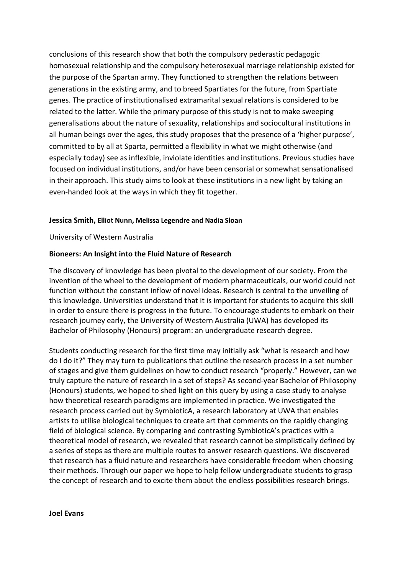conclusions of this research show that both the compulsory pederastic pedagogic homosexual relationship and the compulsory heterosexual marriage relationship existed for the purpose of the Spartan army. They functioned to strengthen the relations between generations in the existing army, and to breed Spartiates for the future, from Spartiate genes. The practice of institutionalised extramarital sexual relations is considered to be related to the latter. While the primary purpose of this study is not to make sweeping generalisations about the nature of sexuality, relationships and sociocultural institutions in all human beings over the ages, this study proposes that the presence of a 'higher purpose', committed to by all at Sparta, permitted a flexibility in what we might otherwise (and especially today) see as inflexible, inviolate identities and institutions. Previous studies have focused on individual institutions, and/or have been censorial or somewhat sensationalised in their approach. This study aims to look at these institutions in a new light by taking an even-handed look at the ways in which they fit together.

#### **Jessica Smith, Elliot Nunn, Melissa Legendre and Nadia Sloan**

University of Western Australia

#### **Bioneers: An Insight into the Fluid Nature of Research**

The discovery of knowledge has been pivotal to the development of our society. From the invention of the wheel to the development of modern pharmaceuticals, our world could not function without the constant inflow of novel ideas. Research is central to the unveiling of this knowledge. Universities understand that it is important for students to acquire this skill in order to ensure there is progress in the future. To encourage students to embark on their research journey early, the University of Western Australia (UWA) has developed its Bachelor of Philosophy (Honours) program: an undergraduate research degree.

Students conducting research for the first time may initially ask "what is research and how do I do it?" They may turn to publications that outline the research process in a set number of stages and give them guidelines on how to conduct research "properly." However, can we truly capture the nature of research in a set of steps? As second-year Bachelor of Philosophy (Honours) students, we hoped to shed light on this query by using a case study to analyse how theoretical research paradigms are implemented in practice. We investigated the research process carried out by SymbioticA, a research laboratory at UWA that enables artists to utilise biological techniques to create art that comments on the rapidly changing field of biological science. By comparing and contrasting SymbioticA's practices with a theoretical model of research, we revealed that research cannot be simplistically defined by a series of steps as there are multiple routes to answer research questions. We discovered that research has a fluid nature and researchers have considerable freedom when choosing their methods. Through our paper we hope to help fellow undergraduate students to grasp the concept of research and to excite them about the endless possibilities research brings.

#### **Joel Evans**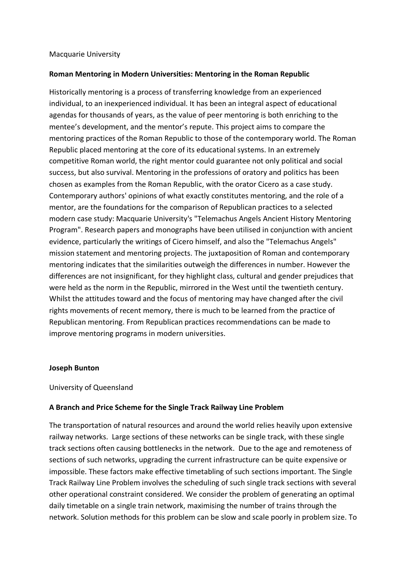#### Macquarie University

## **Roman Mentoring in Modern Universities: Mentoring in the Roman Republic**

Historically mentoring is a process of transferring knowledge from an experienced individual, to an inexperienced individual. It has been an integral aspect of educational agendas for thousands of years, as the value of peer mentoring is both enriching to the mentee's development, and the mentor's repute. This project aims to compare the mentoring practices of the Roman Republic to those of the contemporary world. The Roman Republic placed mentoring at the core of its educational systems. In an extremely competitive Roman world, the right mentor could guarantee not only political and social success, but also survival. Mentoring in the professions of oratory and politics has been chosen as examples from the Roman Republic, with the orator Cicero as a case study. Contemporary authors' opinions of what exactly constitutes mentoring, and the role of a mentor, are the foundations for the comparison of Republican practices to a selected modern case study: Macquarie University's "Telemachus Angels Ancient History Mentoring Program". Research papers and monographs have been utilised in conjunction with ancient evidence, particularly the writings of Cicero himself, and also the "Telemachus Angels" mission statement and mentoring projects. The juxtaposition of Roman and contemporary mentoring indicates that the similarities outweigh the differences in number. However the differences are not insignificant, for they highlight class, cultural and gender prejudices that were held as the norm in the Republic, mirrored in the West until the twentieth century. Whilst the attitudes toward and the focus of mentoring may have changed after the civil rights movements of recent memory, there is much to be learned from the practice of Republican mentoring. From Republican practices recommendations can be made to improve mentoring programs in modern universities.

#### **Joseph Bunton**

## University of Queensland

## **A Branch and Price Scheme for the Single Track Railway Line Problem**

The transportation of natural resources and around the world relies heavily upon extensive railway networks. Large sections of these networks can be single track, with these single track sections often causing bottlenecks in the network. Due to the age and remoteness of sections of such networks, upgrading the current infrastructure can be quite expensive or impossible. These factors make effective timetabling of such sections important. The Single Track Railway Line Problem involves the scheduling of such single track sections with several other operational constraint considered. We consider the problem of generating an optimal daily timetable on a single train network, maximising the number of trains through the network. Solution methods for this problem can be slow and scale poorly in problem size. To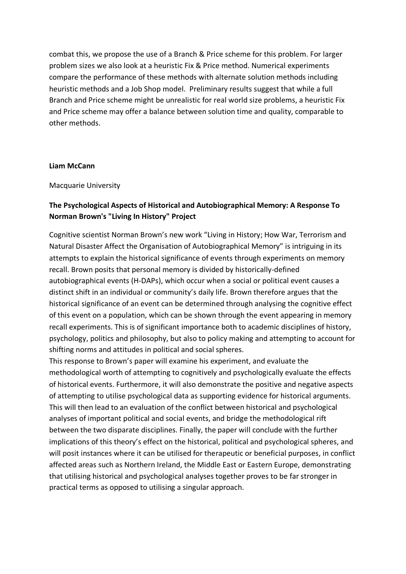combat this, we propose the use of a Branch & Price scheme for this problem. For larger problem sizes we also look at a heuristic Fix & Price method. Numerical experiments compare the performance of these methods with alternate solution methods including heuristic methods and a Job Shop model. Preliminary results suggest that while a full Branch and Price scheme might be unrealistic for real world size problems, a heuristic Fix and Price scheme may offer a balance between solution time and quality, comparable to other methods.

#### **Liam McCann**

Macquarie University

# **The Psychological Aspects of Historical and Autobiographical Memory: A Response To Norman Brown's "Living In History" Project**

Cognitive scientist Norman Brown's new work "Living in History; How War, Terrorism and Natural Disaster Affect the Organisation of Autobiographical Memory" is intriguing in its attempts to explain the historical significance of events through experiments on memory recall. Brown posits that personal memory is divided by historically-defined autobiographical events (H-DAPs), which occur when a social or political event causes a distinct shift in an individual or community's daily life. Brown therefore argues that the historical significance of an event can be determined through analysing the cognitive effect of this event on a population, which can be shown through the event appearing in memory recall experiments. This is of significant importance both to academic disciplines of history, psychology, politics and philosophy, but also to policy making and attempting to account for shifting norms and attitudes in political and social spheres.

This response to Brown's paper will examine his experiment, and evaluate the methodological worth of attempting to cognitively and psychologically evaluate the effects of historical events. Furthermore, it will also demonstrate the positive and negative aspects of attempting to utilise psychological data as supporting evidence for historical arguments. This will then lead to an evaluation of the conflict between historical and psychological analyses of important political and social events, and bridge the methodological rift between the two disparate disciplines. Finally, the paper will conclude with the further implications of this theory's effect on the historical, political and psychological spheres, and will posit instances where it can be utilised for therapeutic or beneficial purposes, in conflict affected areas such as Northern Ireland, the Middle East or Eastern Europe, demonstrating that utilising historical and psychological analyses together proves to be far stronger in practical terms as opposed to utilising a singular approach.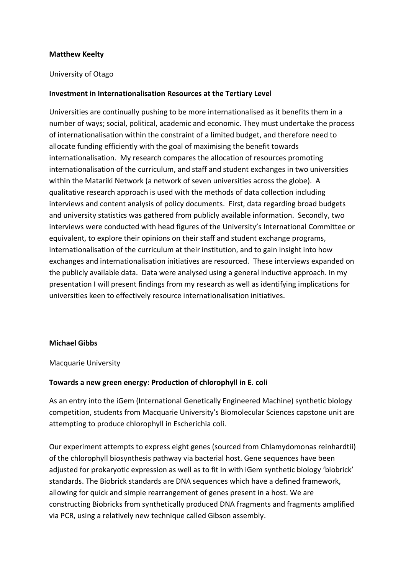# **Matthew Keelty**

## University of Otago

# **Investment in Internationalisation Resources at the Tertiary Level**

Universities are continually pushing to be more internationalised as it benefits them in a number of ways; social, political, academic and economic. They must undertake the process of internationalisation within the constraint of a limited budget, and therefore need to allocate funding efficiently with the goal of maximising the benefit towards internationalisation. My research compares the allocation of resources promoting internationalisation of the curriculum, and staff and student exchanges in two universities within the Matariki Network (a network of seven universities across the globe). A qualitative research approach is used with the methods of data collection including interviews and content analysis of policy documents. First, data regarding broad budgets and university statistics was gathered from publicly available information. Secondly, two interviews were conducted with head figures of the University's International Committee or equivalent, to explore their opinions on their staff and student exchange programs, internationalisation of the curriculum at their institution, and to gain insight into how exchanges and internationalisation initiatives are resourced. These interviews expanded on the publicly available data. Data were analysed using a general inductive approach. In my presentation I will present findings from my research as well as identifying implications for universities keen to effectively resource internationalisation initiatives.

## **Michael Gibbs**

Macquarie University

## **Towards a new green energy: Production of chlorophyll in E. coli**

As an entry into the iGem (International Genetically Engineered Machine) synthetic biology competition, students from Macquarie University's Biomolecular Sciences capstone unit are attempting to produce chlorophyll in Escherichia coli.

Our experiment attempts to express eight genes (sourced from Chlamydomonas reinhardtii) of the chlorophyll biosynthesis pathway via bacterial host. Gene sequences have been adjusted for prokaryotic expression as well as to fit in with iGem synthetic biology 'biobrick' standards. The Biobrick standards are DNA sequences which have a defined framework, allowing for quick and simple rearrangement of genes present in a host. We are constructing Biobricks from synthetically produced DNA fragments and fragments amplified via PCR, using a relatively new technique called Gibson assembly.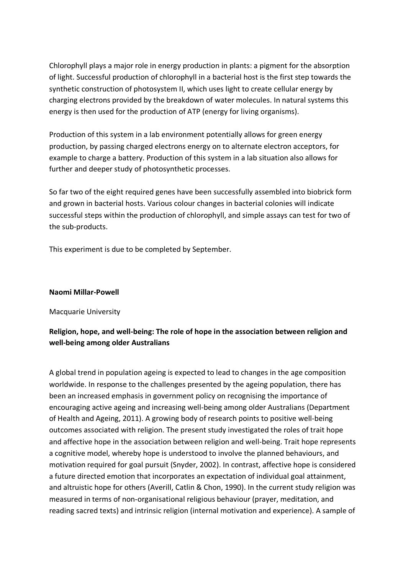Chlorophyll plays a major role in energy production in plants: a pigment for the absorption of light. Successful production of chlorophyll in a bacterial host is the first step towards the synthetic construction of photosystem II, which uses light to create cellular energy by charging electrons provided by the breakdown of water molecules. In natural systems this energy is then used for the production of ATP (energy for living organisms).

Production of this system in a lab environment potentially allows for green energy production, by passing charged electrons energy on to alternate electron acceptors, for example to charge a battery. Production of this system in a lab situation also allows for further and deeper study of photosynthetic processes.

So far two of the eight required genes have been successfully assembled into biobrick form and grown in bacterial hosts. Various colour changes in bacterial colonies will indicate successful steps within the production of chlorophyll, and simple assays can test for two of the sub-products.

This experiment is due to be completed by September.

## **Naomi Millar-Powell**

## Macquarie University

# **Religion, hope, and well-being: The role of hope in the association between religion and well-being among older Australians**

A global trend in population ageing is expected to lead to changes in the age composition worldwide. In response to the challenges presented by the ageing population, there has been an increased emphasis in government policy on recognising the importance of encouraging active ageing and increasing well-being among older Australians (Department of Health and Ageing, 2011). A growing body of research points to positive well-being outcomes associated with religion. The present study investigated the roles of trait hope and affective hope in the association between religion and well-being. Trait hope represents a cognitive model, whereby hope is understood to involve the planned behaviours, and motivation required for goal pursuit (Snyder, 2002). In contrast, affective hope is considered a future directed emotion that incorporates an expectation of individual goal attainment, and altruistic hope for others (Averill, Catlin & Chon, 1990). In the current study religion was measured in terms of non-organisational religious behaviour (prayer, meditation, and reading sacred texts) and intrinsic religion (internal motivation and experience). A sample of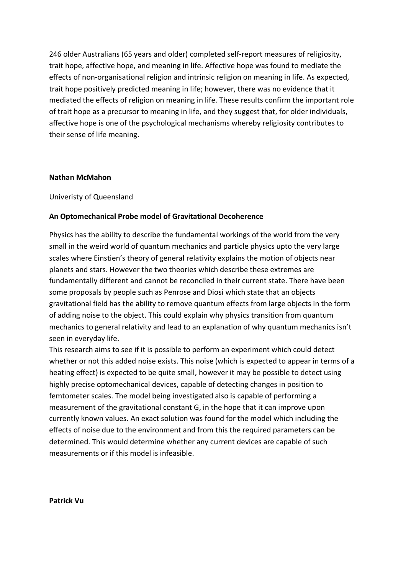246 older Australians (65 years and older) completed self-report measures of religiosity, trait hope, affective hope, and meaning in life. Affective hope was found to mediate the effects of non-organisational religion and intrinsic religion on meaning in life. As expected, trait hope positively predicted meaning in life; however, there was no evidence that it mediated the effects of religion on meaning in life. These results confirm the important role of trait hope as a precursor to meaning in life, and they suggest that, for older individuals, affective hope is one of the psychological mechanisms whereby religiosity contributes to their sense of life meaning.

## **Nathan McMahon**

Univeristy of Queensland

## **An Optomechanical Probe model of Gravitational Decoherence**

Physics has the ability to describe the fundamental workings of the world from the very small in the weird world of quantum mechanics and particle physics upto the very large scales where Einstien's theory of general relativity explains the motion of objects near planets and stars. However the two theories which describe these extremes are fundamentally different and cannot be reconciled in their current state. There have been some proposals by people such as Penrose and Diosi which state that an objects gravitational field has the ability to remove quantum effects from large objects in the form of adding noise to the object. This could explain why physics transition from quantum mechanics to general relativity and lead to an explanation of why quantum mechanics isn't seen in everyday life.

This research aims to see if it is possible to perform an experiment which could detect whether or not this added noise exists. This noise (which is expected to appear in terms of a heating effect) is expected to be quite small, however it may be possible to detect using highly precise optomechanical devices, capable of detecting changes in position to femtometer scales. The model being investigated also is capable of performing a measurement of the gravitational constant G, in the hope that it can improve upon currently known values. An exact solution was found for the model which including the effects of noise due to the environment and from this the required parameters can be determined. This would determine whether any current devices are capable of such measurements or if this model is infeasible.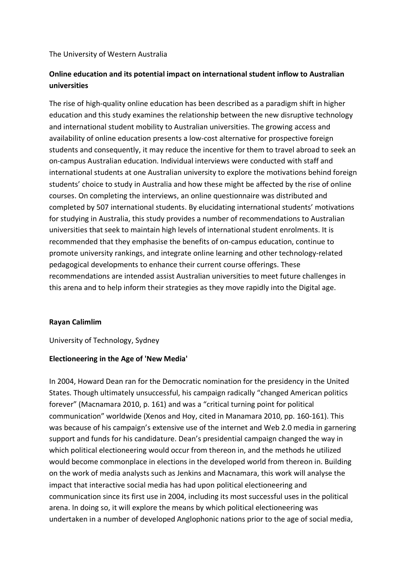## The University of Western Australia

# **Online education and its potential impact on international student inflow to Australian universities**

The rise of high-quality online education has been described as a paradigm shift in higher education and this study examines the relationship between the new disruptive technology and international student mobility to Australian universities. The growing access and availability of online education presents a low-cost alternative for prospective foreign students and consequently, it may reduce the incentive for them to travel abroad to seek an on-campus Australian education. Individual interviews were conducted with staff and international students at one Australian university to explore the motivations behind foreign students' choice to study in Australia and how these might be affected by the rise of online courses. On completing the interviews, an online questionnaire was distributed and completed by 507 international students. By elucidating international students' motivations for studying in Australia, this study provides a number of recommendations to Australian universities that seek to maintain high levels of international student enrolments. It is recommended that they emphasise the benefits of on-campus education, continue to promote university rankings, and integrate online learning and other technology-related pedagogical developments to enhance their current course offerings. These recommendations are intended assist Australian universities to meet future challenges in this arena and to help inform their strategies as they move rapidly into the Digital age.

## **Rayan Calimlim**

University of Technology, Sydney

## **Electioneering in the Age of 'New Media'**

In 2004, Howard Dean ran for the Democratic nomination for the presidency in the United States. Though ultimately unsuccessful, his campaign radically "changed American politics forever" (Macnamara 2010, p. 161) and was a "critical turning point for political communication" worldwide (Xenos and Hoy, cited in Manamara 2010, pp. 160-161). This was because of his campaign's extensive use of the internet and Web 2.0 media in garnering support and funds for his candidature. Dean's presidential campaign changed the way in which political electioneering would occur from thereon in, and the methods he utilized would become commonplace in elections in the developed world from thereon in. Building on the work of media analysts such as Jenkins and Macnamara, this work will analyse the impact that interactive social media has had upon political electioneering and communication since its first use in 2004, including its most successful uses in the political arena. In doing so, it will explore the means by which political electioneering was undertaken in a number of developed Anglophonic nations prior to the age of social media,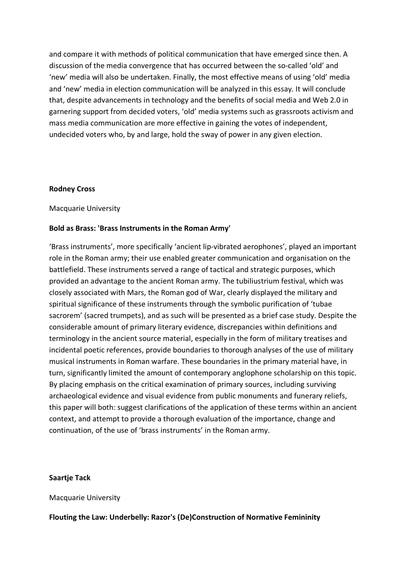and compare it with methods of political communication that have emerged since then. A discussion of the media convergence that has occurred between the so-called 'old' and 'new' media will also be undertaken. Finally, the most effective means of using 'old' media and 'new' media in election communication will be analyzed in this essay. It will conclude that, despite advancements in technology and the benefits of social media and Web 2.0 in garnering support from decided voters, 'old' media systems such as grassroots activism and mass media communication are more effective in gaining the votes of independent, undecided voters who, by and large, hold the sway of power in any given election.

#### **Rodney Cross**

Macquarie University

## **Bold as Brass: 'Brass Instruments in the Roman Army'**

'Brass instruments', more specifically 'ancient lip-vibrated aerophones', played an important role in the Roman army; their use enabled greater communication and organisation on the battlefield. These instruments served a range of tactical and strategic purposes, which provided an advantage to the ancient Roman army. The tubiliustrium festival, which was closely associated with Mars, the Roman god of War, clearly displayed the military and spiritual significance of these instruments through the symbolic purification of 'tubae sacrorem' (sacred trumpets), and as such will be presented as a brief case study. Despite the considerable amount of primary literary evidence, discrepancies within definitions and terminology in the ancient source material, especially in the form of military treatises and incidental poetic references, provide boundaries to thorough analyses of the use of military musical instruments in Roman warfare. These boundaries in the primary material have, in turn, significantly limited the amount of contemporary anglophone scholarship on this topic. By placing emphasis on the critical examination of primary sources, including surviving archaeological evidence and visual evidence from public monuments and funerary reliefs, this paper will both: suggest clarifications of the application of these terms within an ancient context, and attempt to provide a thorough evaluation of the importance, change and continuation, of the use of 'brass instruments' in the Roman army.

## **Saartje Tack**

Macquarie University

## **Flouting the Law: Underbelly: Razor's (De)Construction of Normative Femininity**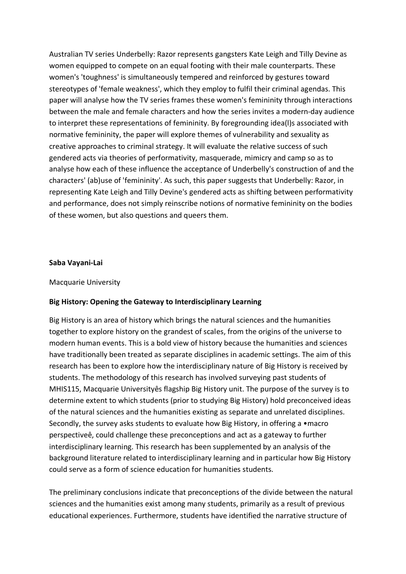Australian TV series Underbelly: Razor represents gangsters Kate Leigh and Tilly Devine as women equipped to compete on an equal footing with their male counterparts. These women's 'toughness' is simultaneously tempered and reinforced by gestures toward stereotypes of 'female weakness', which they employ to fulfil their criminal agendas. This paper will analyse how the TV series frames these women's femininity through interactions between the male and female characters and how the series invites a modern-day audience to interpret these representations of femininity. By foregrounding idea(l)s associated with normative femininity, the paper will explore themes of vulnerability and sexuality as creative approaches to criminal strategy. It will evaluate the relative success of such gendered acts via theories of performativity, masquerade, mimicry and camp so as to analyse how each of these influence the acceptance of Underbelly's construction of and the characters' (ab)use of 'femininity'. As such, this paper suggests that Underbelly: Razor, in representing Kate Leigh and Tilly Devine's gendered acts as shifting between performativity and performance, does not simply reinscribe notions of normative femininity on the bodies of these women, but also questions and queers them.

#### **Saba Vayani-Lai**

#### Macquarie University

## **Big History: Opening the Gateway to Interdisciplinary Learning**

Big History is an area of history which brings the natural sciences and the humanities together to explore history on the grandest of scales, from the origins of the universe to modern human events. This is a bold view of history because the humanities and sciences have traditionally been treated as separate disciplines in academic settings. The aim of this research has been to explore how the interdisciplinary nature of Big History is received by students. The methodology of this research has involved surveying past students of MHIS115, Macquarie Universityês flagship Big History unit. The purpose of the survey is to determine extent to which students (prior to studying Big History) hold preconceived ideas of the natural sciences and the humanities existing as separate and unrelated disciplines. Secondly, the survey asks students to evaluate how Big History, in offering a •macro perspectiveê, could challenge these preconceptions and act as a gateway to further interdisciplinary learning. This research has been supplemented by an analysis of the background literature related to interdisciplinary learning and in particular how Big History could serve as a form of science education for humanities students.

The preliminary conclusions indicate that preconceptions of the divide between the natural sciences and the humanities exist among many students, primarily as a result of previous educational experiences. Furthermore, students have identified the narrative structure of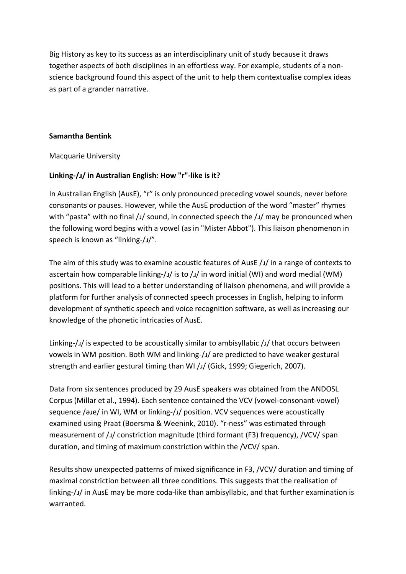Big History as key to its success as an interdisciplinary unit of study because it draws together aspects of both disciplines in an effortless way. For example, students of a nonscience background found this aspect of the unit to help them contextualise complex ideas as part of a grander narrative.

# **Samantha Bentink**

Macquarie University

# **Linking-/ɹ/ in Australian English: How "r"-like is it?**

In Australian English (AusE), "r" is only pronounced preceding vowel sounds, never before consonants or pauses. However, while the AusE production of the word "master" rhymes with "pasta" with no final /ɹ/ sound, in connected speech the /ɹ/ may be pronounced when the following word begins with a vowel (as in "Mister Abbot"). This liaison phenomenon in speech is known as "linking-/ɹ/".

The aim of this study was to examine acoustic features of AusE  $/1/$  in a range of contexts to ascertain how comparable linking-/ $\frac{1}{s}$  is to / $\frac{1}{s}$  in word initial (WI) and word medial (WM) positions. This will lead to a better understanding of liaison phenomena, and will provide a platform for further analysis of connected speech processes in English, helping to inform development of synthetic speech and voice recognition software, as well as increasing our knowledge of the phonetic intricacies of AusE.

Linking-/ɹ/ is expected to be acoustically similar to ambisyllabic /ɹ/ that occurs between vowels in WM position. Both WM and linking-/ɹ/ are predicted to have weaker gestural strength and earlier gestural timing than WI /J/ (Gick, 1999; Giegerich, 2007).

Data from six sentences produced by 29 AusE speakers was obtained from the ANDOSL Corpus (Millar et al., 1994). Each sentence contained the VCV (vowel-consonant-vowel) sequence /əɹe/ in WI, WM or linking-/ɹ/ position. VCV sequences were acoustically examined using Praat (Boersma & Weenink, 2010). "r-ness" was estimated through measurement of /ɹ/ constriction magnitude (third formant (F3) frequency), /VCV/ span duration, and timing of maximum constriction within the /VCV/ span.

Results show unexpected patterns of mixed significance in F3, /VCV/ duration and timing of maximal constriction between all three conditions. This suggests that the realisation of linking-/ɹ/ in AusE may be more coda-like than ambisyllabic, and that further examination is warranted.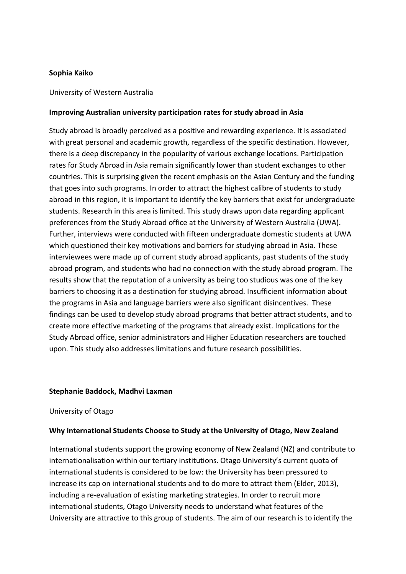## **Sophia Kaiko**

#### University of Western Australia

#### **Improving Australian university participation rates for study abroad in Asia**

Study abroad is broadly perceived as a positive and rewarding experience. It is associated with great personal and academic growth, regardless of the specific destination. However, there is a deep discrepancy in the popularity of various exchange locations. Participation rates for Study Abroad in Asia remain significantly lower than student exchanges to other countries. This is surprising given the recent emphasis on the Asian Century and the funding that goes into such programs. In order to attract the highest calibre of students to study abroad in this region, it is important to identify the key barriers that exist for undergraduate students. Research in this area is limited. This study draws upon data regarding applicant preferences from the Study Abroad office at the University of Western Australia (UWA). Further, interviews were conducted with fifteen undergraduate domestic students at UWA which questioned their key motivations and barriers for studying abroad in Asia. These interviewees were made up of current study abroad applicants, past students of the study abroad program, and students who had no connection with the study abroad program. The results show that the reputation of a university as being too studious was one of the key barriers to choosing it as a destination for studying abroad. Insufficient information about the programs in Asia and language barriers were also significant disincentives. These findings can be used to develop study abroad programs that better attract students, and to create more effective marketing of the programs that already exist. Implications for the Study Abroad office, senior administrators and Higher Education researchers are touched upon. This study also addresses limitations and future research possibilities.

#### **Stephanie Baddock, Madhvi Laxman**

#### University of Otago

## **Why International Students Choose to Study at the University of Otago, New Zealand**

International students support the growing economy of New Zealand (NZ) and contribute to internationalisation within our tertiary institutions. Otago University's current quota of international students is considered to be low: the University has been pressured to increase its cap on international students and to do more to attract them (Elder, 2013), including a re-evaluation of existing marketing strategies. In order to recruit more international students, Otago University needs to understand what features of the University are attractive to this group of students. The aim of our research is to identify the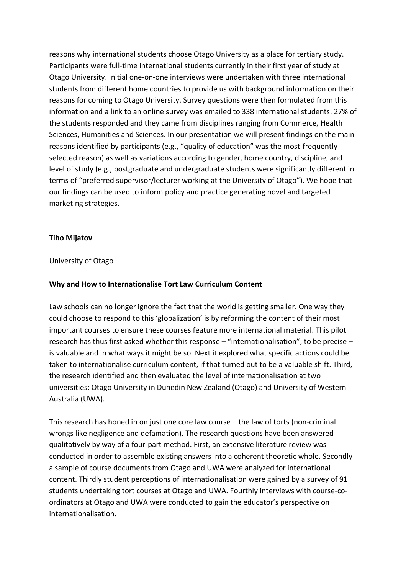reasons why international students choose Otago University as a place for tertiary study. Participants were full-time international students currently in their first year of study at Otago University. Initial one-on-one interviews were undertaken with three international students from different home countries to provide us with background information on their reasons for coming to Otago University. Survey questions were then formulated from this information and a link to an online survey was emailed to 338 international students. 27% of the students responded and they came from disciplines ranging from Commerce, Health Sciences, Humanities and Sciences. In our presentation we will present findings on the main reasons identified by participants (e.g., "quality of education" was the most-frequently selected reason) as well as variations according to gender, home country, discipline, and level of study (e.g., postgraduate and undergraduate students were significantly different in terms of "preferred supervisor/lecturer working at the University of Otago"). We hope that our findings can be used to inform policy and practice generating novel and targeted marketing strategies.

# **Tiho Mijatov**

## University of Otago

## **Why and How to Internationalise Tort Law Curriculum Content**

Law schools can no longer ignore the fact that the world is getting smaller. One way they could choose to respond to this 'globalization' is by reforming the content of their most important courses to ensure these courses feature more international material. This pilot research has thus first asked whether this response – "internationalisation", to be precise – is valuable and in what ways it might be so. Next it explored what specific actions could be taken to internationalise curriculum content, if that turned out to be a valuable shift. Third, the research identified and then evaluated the level of internationalisation at two universities: Otago University in Dunedin New Zealand (Otago) and University of Western Australia (UWA).

This research has honed in on just one core law course – the law of torts (non-criminal wrongs like negligence and defamation). The research questions have been answered qualitatively by way of a four-part method. First, an extensive literature review was conducted in order to assemble existing answers into a coherent theoretic whole. Secondly a sample of course documents from Otago and UWA were analyzed for international content. Thirdly student perceptions of internationalisation were gained by a survey of 91 students undertaking tort courses at Otago and UWA. Fourthly interviews with course-coordinators at Otago and UWA were conducted to gain the educator's perspective on internationalisation.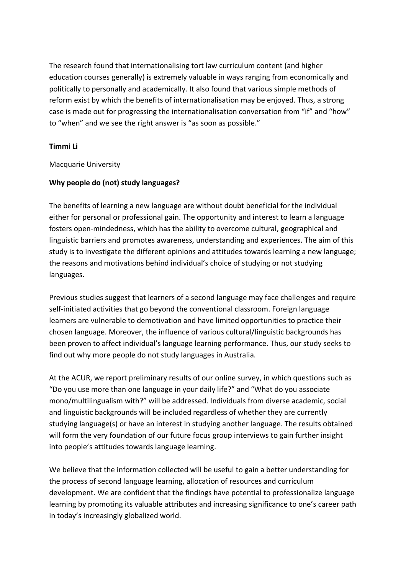The research found that internationalising tort law curriculum content (and higher education courses generally) is extremely valuable in ways ranging from economically and politically to personally and academically. It also found that various simple methods of reform exist by which the benefits of internationalisation may be enjoyed. Thus, a strong case is made out for progressing the internationalisation conversation from "if" and "how" to "when" and we see the right answer is "as soon as possible."

# **Timmi Li**

Macquarie University

# **Why people do (not) study languages?**

The benefits of learning a new language are without doubt beneficial for the individual either for personal or professional gain. The opportunity and interest to learn a language fosters open-mindedness, which has the ability to overcome cultural, geographical and linguistic barriers and promotes awareness, understanding and experiences. The aim of this study is to investigate the different opinions and attitudes towards learning a new language; the reasons and motivations behind individual's choice of studying or not studying languages.

Previous studies suggest that learners of a second language may face challenges and require self-initiated activities that go beyond the conventional classroom. Foreign language learners are vulnerable to demotivation and have limited opportunities to practice their chosen language. Moreover, the influence of various cultural/linguistic backgrounds has been proven to affect individual's language learning performance. Thus, our study seeks to find out why more people do not study languages in Australia.

At the ACUR, we report preliminary results of our online survey, in which questions such as "Do you use more than one language in your daily life?" and "What do you associate mono/multilingualism with?" will be addressed. Individuals from diverse academic, social and linguistic backgrounds will be included regardless of whether they are currently studying language(s) or have an interest in studying another language. The results obtained will form the very foundation of our future focus group interviews to gain further insight into people's attitudes towards language learning.

We believe that the information collected will be useful to gain a better understanding for the process of second language learning, allocation of resources and curriculum development. We are confident that the findings have potential to professionalize language learning by promoting its valuable attributes and increasing significance to one's career path in today's increasingly globalized world.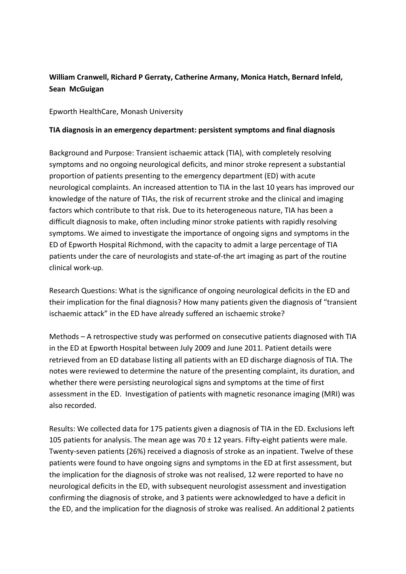# **William Cranwell, Richard P Gerraty, Catherine Armany, Monica Hatch, Bernard Infeld, Sean McGuigan**

Epworth HealthCare, Monash University

# **TIA diagnosis in an emergency department: persistent symptoms and final diagnosis**

Background and Purpose: Transient ischaemic attack (TIA), with completely resolving symptoms and no ongoing neurological deficits, and minor stroke represent a substantial proportion of patients presenting to the emergency department (ED) with acute neurological complaints. An increased attention to TIA in the last 10 years has improved our knowledge of the nature of TIAs, the risk of recurrent stroke and the clinical and imaging factors which contribute to that risk. Due to its heterogeneous nature, TIA has been a difficult diagnosis to make, often including minor stroke patients with rapidly resolving symptoms. We aimed to investigate the importance of ongoing signs and symptoms in the ED of Epworth Hospital Richmond, with the capacity to admit a large percentage of TIA patients under the care of neurologists and state-of-the art imaging as part of the routine clinical work-up.

Research Questions: What is the significance of ongoing neurological deficits in the ED and their implication for the final diagnosis? How many patients given the diagnosis of "transient ischaemic attack" in the ED have already suffered an ischaemic stroke?

Methods – A retrospective study was performed on consecutive patients diagnosed with TIA in the ED at Epworth Hospital between July 2009 and June 2011. Patient details were retrieved from an ED database listing all patients with an ED discharge diagnosis of TIA. The notes were reviewed to determine the nature of the presenting complaint, its duration, and whether there were persisting neurological signs and symptoms at the time of first assessment in the ED. Investigation of patients with magnetic resonance imaging (MRI) was also recorded.

Results: We collected data for 175 patients given a diagnosis of TIA in the ED. Exclusions left 105 patients for analysis. The mean age was  $70 \pm 12$  years. Fifty-eight patients were male. Twenty-seven patients (26%) received a diagnosis of stroke as an inpatient. Twelve of these patients were found to have ongoing signs and symptoms in the ED at first assessment, but the implication for the diagnosis of stroke was not realised, 12 were reported to have no neurological deficits in the ED, with subsequent neurologist assessment and investigation confirming the diagnosis of stroke, and 3 patients were acknowledged to have a deficit in the ED, and the implication for the diagnosis of stroke was realised. An additional 2 patients